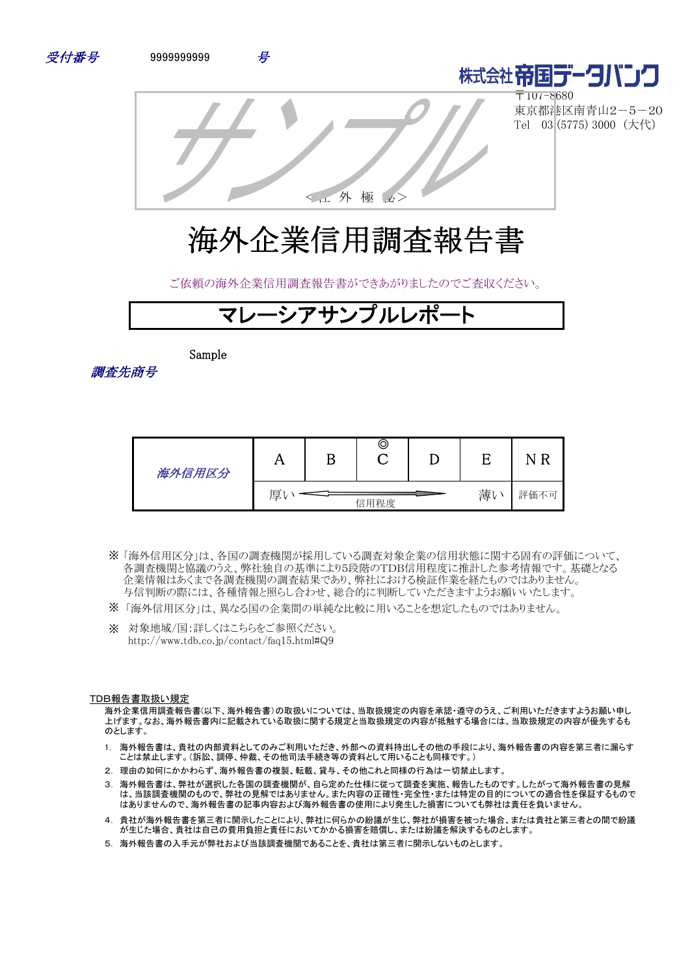



〒107-8680 東京都港区南青山2-5-20 Tel 03 (5775) 3000 (大代)

<社 外 極 秘>

# 海外企業信用調査報告書

ご依頼の海外企業信用調査報告書ができあがりましたのでご査収ください。



Sample

調査先商号

| 海外信用区分 | 1 Y | B | O    |    |          |
|--------|-----|---|------|----|----------|
|        | 厚   |   | 信用程度 | 薄い | 評価不<br>月 |

- 「海外信用区分」は、各国の調査機関が採用している調査対象企業の信用状態に関する固有の評価について、 ※ 各調査機関と協議のうえ、弊社独自の基準により5段階のTDB信用程度に推計した参考情報です。基礎となる 企業情報はあくまで各調査機関の調査結果であり、弊社における検証作業を経たものではありません。 与信判断の際には、各種情報と照らし合わせ、総合的に判断していただきますようお願いいたします。
- ※ 「海外信用区分」は、異なる国の企業間の単純な比較に用いることを想定したものではありません。
- ※ 対象地域/国:詳しくはこちらをご参照ください。 http://www.tdb.co.jp/contact/faq15.html#Q9

#### TDB報告書取扱い規定

海外企業信用調査報告書(以下、海外報告書)の取扱いについては、当取扱規定の内容を承認・遵守のうえ、ご利用いただきますようお願い申し 上げます。なお、海外報告書内に記載されている取扱に関する規定と当取扱規定の内容が抵触する場合には、当取扱規定の内容が優先するも のとします。

- 1. 海外報告書は、貴社の内部資料としてのみご利用いただき、外部への資料持出しその他の手段により、海外報告書の内容を第三者に漏らす ことは禁止します。(訴訟、調停、仲裁、その他司法手続き等の資料として用いることも同様です。)
- 2. 理由の如何にかかわらず、海外報告書の複製、転載、貸与、その他これと同様の行為は一切禁止します。
- 3. 海外報告書は、弊社が選択した各国の調査機関が、自ら定めた仕様に従って調査を実施、報告したものです。したがって海外報告書の見解 は、当該調査機関のもので、弊社の見解ではありません。また内容の正確性・完全性・または特定の目的についての適合性を保証するもので はありませんので、海外報告書の記事内容および海外報告書の使用により発生した損害についても弊社は責任を負いません。
- 4. 貴社が海外報告書を第三者に開示したことにより、弊社に何らかの紛議が生じ、弊社が損害を被った場合、または貴社と第三者との間で紛議 が生じた場合、貴社は自己の費用負担と責任においてかかる損害を賠償し、または紛議を解決するものとします。
- 5. 海外報告書の入手元が弊社および当該調査機関であることを、貴社は第三者に開示しないものとします。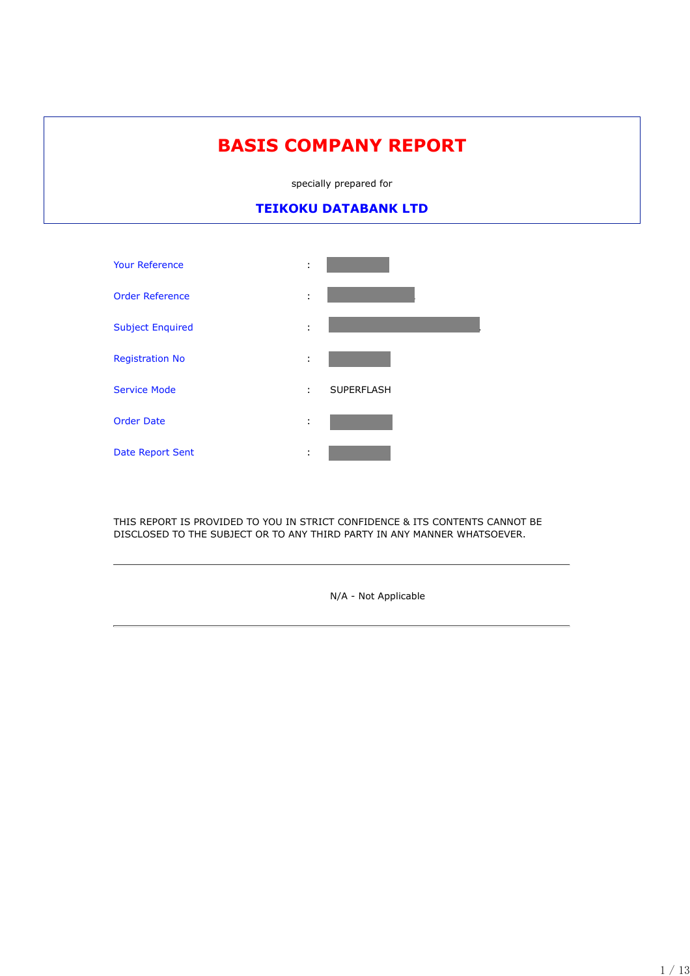# **BASIS COMPANY REPORT**

specially prepared for

# **TEIKOKU DATABANK LTD**



THIS REPORT IS PROVIDED TO YOU IN STRICT CONFIDENCE & ITS CONTENTS CANNOT BE DISCLOSED TO THE SUBJECT OR TO ANY THIRD PARTY IN ANY MANNER WHATSOEVER.

N/A - Not Applicable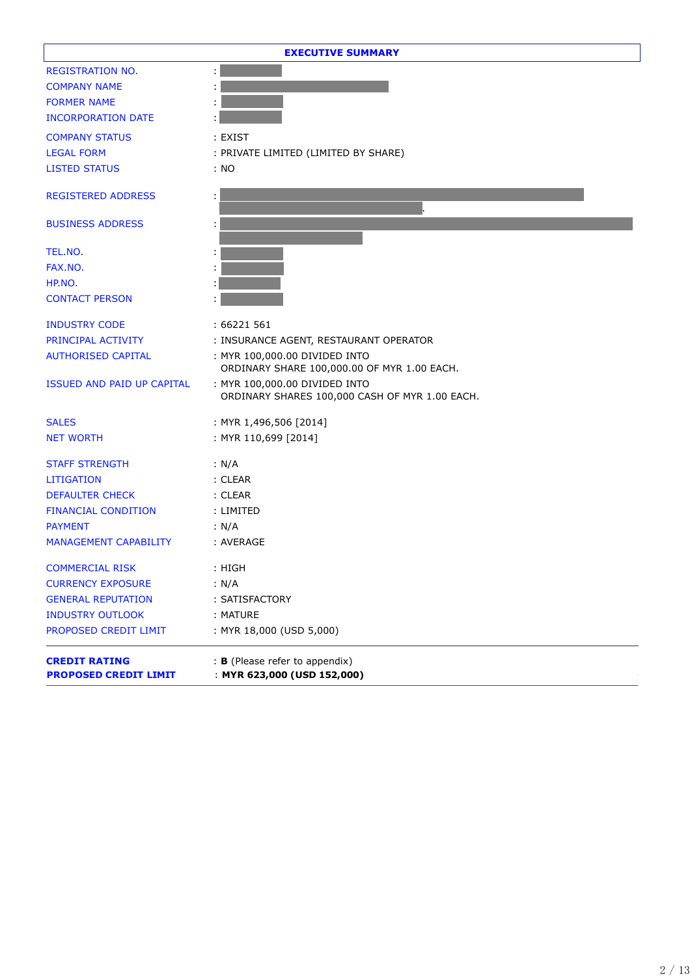|                                                      | <b>EXECUTIVE SUMMARY</b>                                                        |
|------------------------------------------------------|---------------------------------------------------------------------------------|
| <b>REGISTRATION NO.</b>                              |                                                                                 |
| <b>COMPANY NAME</b>                                  |                                                                                 |
| <b>FORMER NAME</b>                                   |                                                                                 |
| <b>INCORPORATION DATE</b>                            |                                                                                 |
| <b>COMPANY STATUS</b>                                | : EXIST                                                                         |
| <b>LEGAL FORM</b>                                    | : PRIVATE LIMITED (LIMITED BY SHARE)                                            |
| <b>LISTED STATUS</b>                                 | : NO                                                                            |
| <b>REGISTERED ADDRESS</b>                            | ÷                                                                               |
| <b>BUSINESS ADDRESS</b>                              | ÷                                                                               |
| TEL.NO.                                              |                                                                                 |
| FAX.NO.                                              |                                                                                 |
| HP.NO.                                               |                                                                                 |
| <b>CONTACT PERSON</b>                                |                                                                                 |
| <b>INDUSTRY CODE</b>                                 | : 66221 561                                                                     |
| PRINCIPAL ACTIVITY                                   | : INSURANCE AGENT, RESTAURANT OPERATOR                                          |
| <b>AUTHORISED CAPITAL</b>                            | : MYR 100,000.00 DIVIDED INTO<br>ORDINARY SHARE 100,000.00 OF MYR 1.00 EACH.    |
| ISSUED AND PAID UP CAPITAL                           | : MYR 100,000.00 DIVIDED INTO<br>ORDINARY SHARES 100,000 CASH OF MYR 1.00 EACH. |
| <b>SALES</b>                                         | : MYR 1,496,506 [2014]                                                          |
| <b>NET WORTH</b>                                     | : MYR 110,699 [2014]                                                            |
| <b>STAFF STRENGTH</b>                                | : N/A                                                                           |
| <b>LITIGATION</b>                                    | : CLEAR                                                                         |
| <b>DEFAULTER CHECK</b>                               | : CLEAR                                                                         |
| <b>FINANCIAL CONDITION</b>                           | : LIMITED                                                                       |
| <b>PAYMENT</b>                                       | : N/A                                                                           |
| <b>MANAGEMENT CAPABILITY</b>                         | : AVERAGE                                                                       |
| <b>COMMERCIAL RISK</b>                               | : HIGH                                                                          |
| <b>CURRENCY EXPOSURE</b>                             | : N/A                                                                           |
| <b>GENERAL REPUTATION</b>                            | : SATISFACTORY                                                                  |
| <b>INDUSTRY OUTLOOK</b>                              | : MATURE                                                                        |
| PROPOSED CREDIT LIMIT                                | : MYR 18,000 (USD 5,000)                                                        |
| <b>CREDIT RATING</b><br><b>PROPOSED CREDIT LIMIT</b> | : B (Please refer to appendix)<br>: MYR 623,000 (USD 152,000)                   |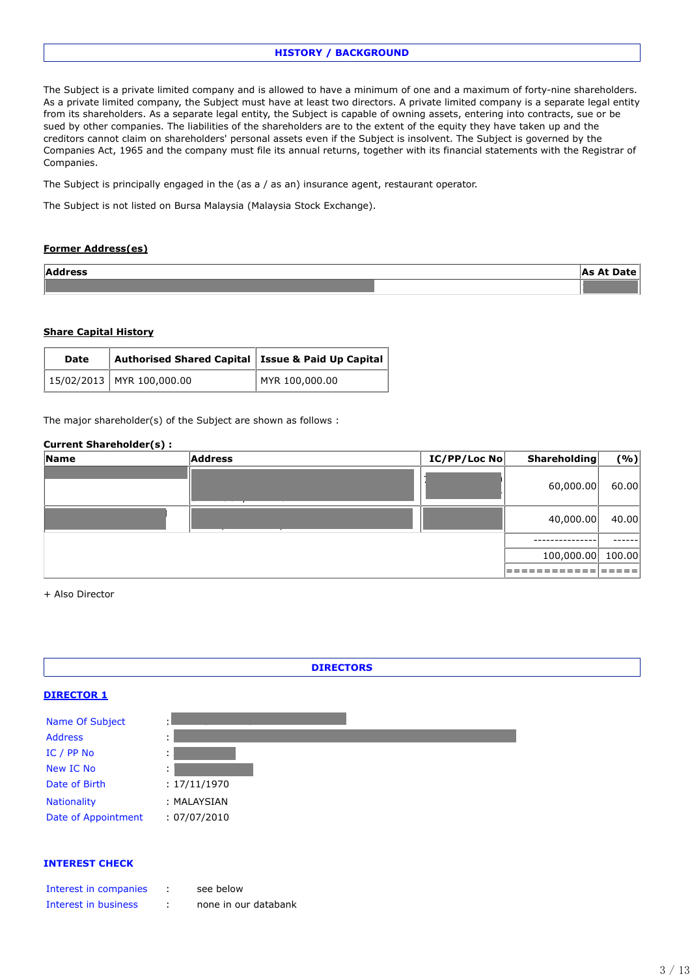# **HISTORY / BACKGROUND**

The Subject is a private limited company and is allowed to have a minimum of one and a maximum of forty-nine shareholders. As a private limited company, the Subject must have at least two directors. A private limited company is a separate legal entity from its shareholders. As a separate legal entity, the Subject is capable of owning assets, entering into contracts, sue or be sued by other companies. The liabilities of the shareholders are to the extent of the equity they have taken up and the creditors cannot claim on shareholders' personal assets even if the Subject is insolvent. The Subject is governed by the Companies Act, 1965 and the company must file its annual returns, together with its financial statements with the Registrar of Companies.

The Subject is principally engaged in the (as a / as an) insurance agent, restaurant operator.

The Subject is not listed on Bursa Malaysia (Malaysia Stock Exchange).

# **Former Address(es)**

| <b>Address</b> | IAc Al<br>лате 1<br>$A \rightarrow A$ |
|----------------|---------------------------------------|
|                |                                       |

#### **Share Capital History**

| <b>Date</b> | Authorised Shared Capital   Issue & Paid Up Capital |                |
|-------------|-----------------------------------------------------|----------------|
|             | $15/02/2013$ MYR 100,000.00                         | MYR 100,000.00 |

The major shareholder(s) of the Subject are shown as follows :

#### **Current Shareholder(s) :**

| 60,000.00<br>40,000.00<br>100,000.00 | Name | <b>Address</b> | IC/PP/Loc No | <b>Shareholding</b> | ( %)   |
|--------------------------------------|------|----------------|--------------|---------------------|--------|
|                                      |      |                |              |                     | 60.00  |
|                                      |      |                |              |                     | 40.00  |
|                                      |      |                |              |                     |        |
|                                      |      |                |              |                     | 100.00 |
|                                      |      |                |              |                     |        |

+ Also Director



#### **INTEREST CHECK**

| Interest in companies | see below            |
|-----------------------|----------------------|
| Interest in business  | none in our databank |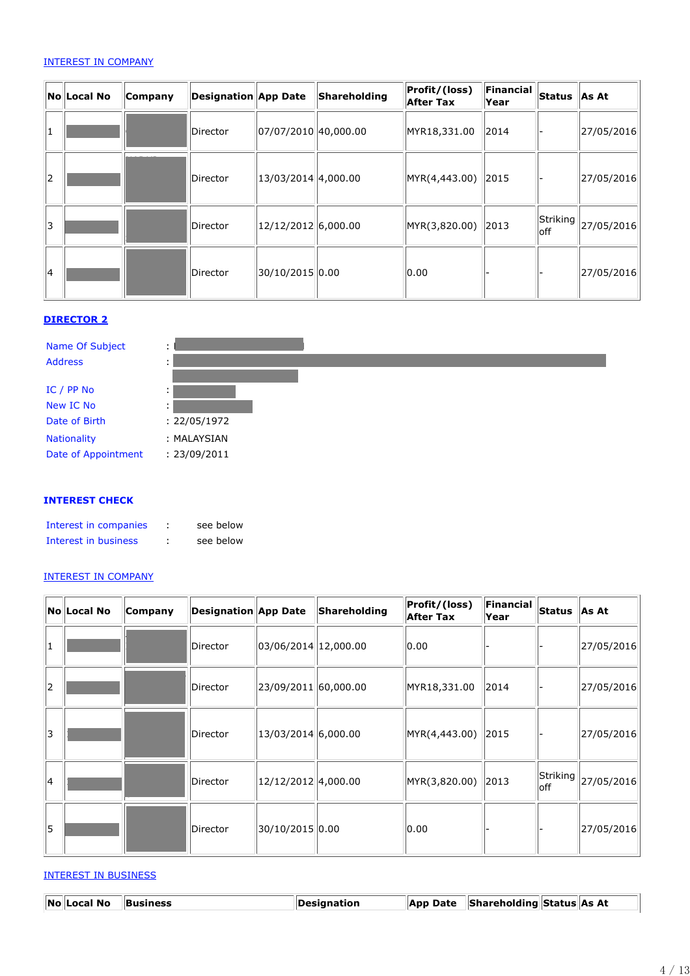# INTEREST IN COMPANY

|    | NolLocal No | Company | <b>Designation App Date</b> |                      | Shareholding | Profit/(loss)<br><b>After Tax</b> | Financial<br>Year | <b>Status</b>    | <b>As At</b> |
|----|-------------|---------|-----------------------------|----------------------|--------------|-----------------------------------|-------------------|------------------|--------------|
| 1  |             |         | Director                    | 07/07/2010 40,000.00 |              | MYR18,331.00                      | 2014              |                  | 27/05/2016   |
| 2  |             |         | Director                    | 13/03/2014 4,000.00  |              | MYR(4,443.00)                     | $\vert$ 2015      |                  | 27/05/2016   |
| 13 |             |         | Director                    | 12/12/2012 6,000.00  |              | MYR(3,820.00)                     | $\vert$ 2013      | Striking<br>loff | 27/05/2016   |
| 14 |             |         | Director                    | 30/10/2015 0.00      |              | 0.00                              |                   |                  | 27/05/2016   |

# **DIRECTOR 2**



### **INTEREST CHECK**

| Interest in companies | see below |
|-----------------------|-----------|
| Interest in business  | see below |

# INTEREST IN COMPANY

|    | NolLocal No | Company | <b>Designation App Date</b> |                       | Shareholding | Profit/(loss)<br><b>After Tax</b> | Financial<br>Year | $\vert$ Status $\vert$ | As At            |
|----|-------------|---------|-----------------------------|-----------------------|--------------|-----------------------------------|-------------------|------------------------|------------------|
| 1  |             |         | Director                    | 03/06/2014 12,000.00  |              | 0.00                              |                   |                        | 27/05/2016       |
| 2  |             |         | Director                    | 23/09/2011 60,000.00  |              | MYR18,331.00                      | 2014              |                        | 27/05/2016       |
| 3  |             |         | Director                    | $13/03/2014$ 6,000.00 |              | MYR(4,443.00)                     | 2015              |                        | $\ 27/05/2016\ $ |
| 14 |             |         | Director                    | 12/12/2012 4,000.00   |              | MYR(3,820.00) 2013                |                   | Striking<br>loff       | 27/05/2016       |
| 15 |             |         | Director                    | 30/10/2015 0.00       |              | 0.00                              |                   |                        | 27/05/2016       |

#### INTEREST IN BUSINESS

| No Local No Business | <i><b>Designation</b></i> | App Date Shareholding Status As At |  |
|----------------------|---------------------------|------------------------------------|--|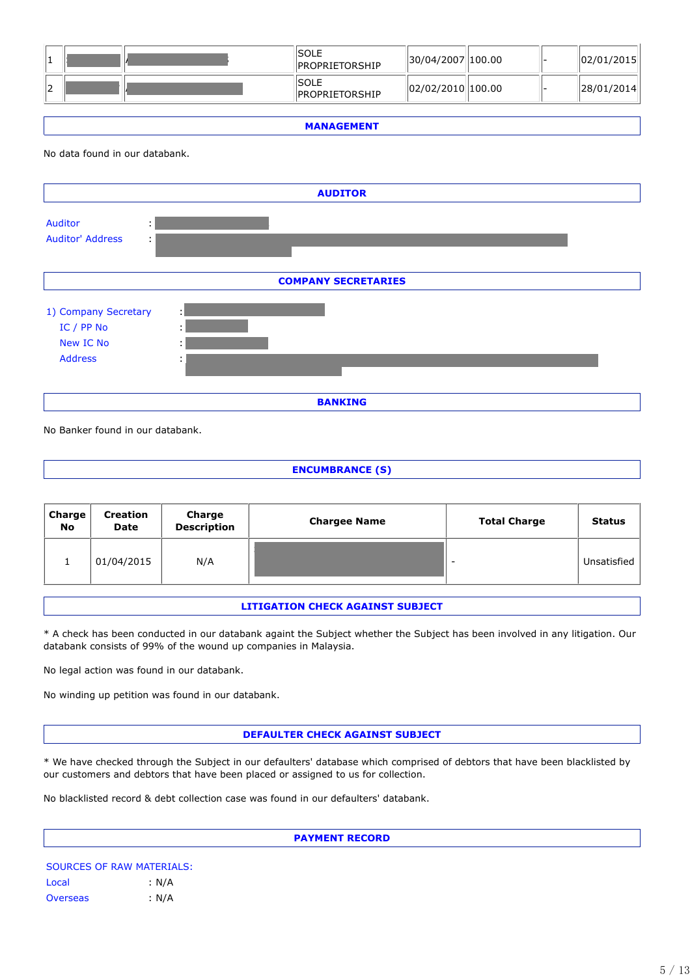|    |  | ISOLE<br><b>IPROPRIETORSHIP</b>        | 30/04/2007  100.00 |  | 02/01/2015 |
|----|--|----------------------------------------|--------------------|--|------------|
| 12 |  | <b>ISOLE</b><br><b>IPROPRIETORSHIP</b> | 02/02/2010 100.00  |  | 28/01/2014 |

**MANAGEMENT**

No data found in our databank.



No Banker found in our databank.

**ENCUMBRANCE (S)**

| Charge<br><b>No</b> | <b>Creation</b><br><b>Date</b> | Charge<br><b>Description</b> | <b>Chargee Name</b> | <b>Total Charge</b> | <b>Status</b> |
|---------------------|--------------------------------|------------------------------|---------------------|---------------------|---------------|
|                     | 01/04/2015                     | N/A                          |                     | -                   | Unsatisfied   |

#### **LITIGATION CHECK AGAINST SUBJECT**

\* A check has been conducted in our databank againt the Subject whether the Subject has been involved in any litigation. Our databank consists of 99% of the wound up companies in Malaysia.

No legal action was found in our databank.

No winding up petition was found in our databank.

#### **DEFAULTER CHECK AGAINST SUBJECT**

\* We have checked through the Subject in our defaulters' database which comprised of debtors that have been blacklisted by our customers and debtors that have been placed or assigned to us for collection.

No blacklisted record & debt collection case was found in our defaulters' databank.

**PAYMENT RECORD**

SOURCES OF RAW MATERIALS: Local : N/A Overseas : N/A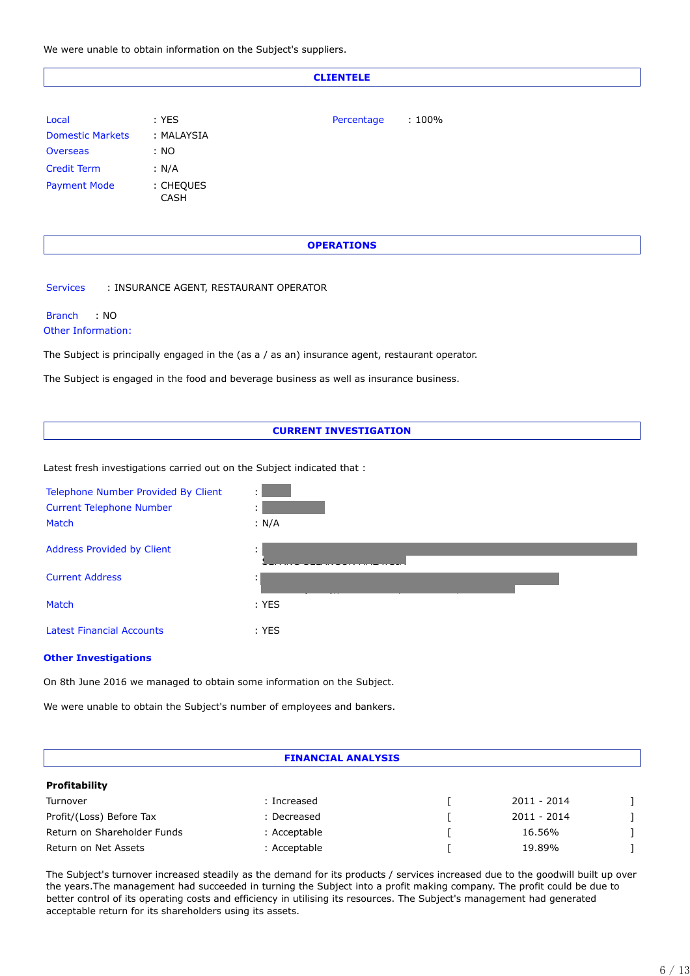We were unable to obtain information on the Subject's suppliers.

#### **CLIENTELE**

| Local                   | $:$ YES                  | Percentage | $:100\%$ |
|-------------------------|--------------------------|------------|----------|
| <b>Domestic Markets</b> | : MALAYSIA               |            |          |
| <b>Overseas</b>         | : NO                     |            |          |
| <b>Credit Term</b>      | : N/A                    |            |          |
| <b>Payment Mode</b>     | : CHEQUES<br><b>CASH</b> |            |          |

#### **OPERATIONS**

Services : INSURANCE AGENT, RESTAURANT OPERATOR

#### Branch : NO Other Information:

The Subject is principally engaged in the (as a / as an) insurance agent, restaurant operator.

The Subject is engaged in the food and beverage business as well as insurance business.

#### **CURRENT INVESTIGATION**

Latest fresh investigations carried out on the Subject indicated that :



#### **Other Investigations**

On 8th June 2016 we managed to obtain some information on the Subject.

We were unable to obtain the Subject's number of employees and bankers.

#### **FINANCIAL ANALYSIS**

#### **Profitability**

| Turnover                    | Increased    | 2011 - 2014   |  |
|-----------------------------|--------------|---------------|--|
| Profit/(Loss) Before Tax    | : Decreased  | $2011 - 2014$ |  |
| Return on Shareholder Funds | : Acceptable | 16.56%        |  |
| Return on Net Assets        | : Acceptable | 19.89%        |  |

The Subject's turnover increased steadily as the demand for its products / services increased due to the goodwill built up over the years.The management had succeeded in turning the Subject into a profit making company. The profit could be due to better control of its operating costs and efficiency in utilising its resources. The Subject's management had generated acceptable return for its shareholders using its assets.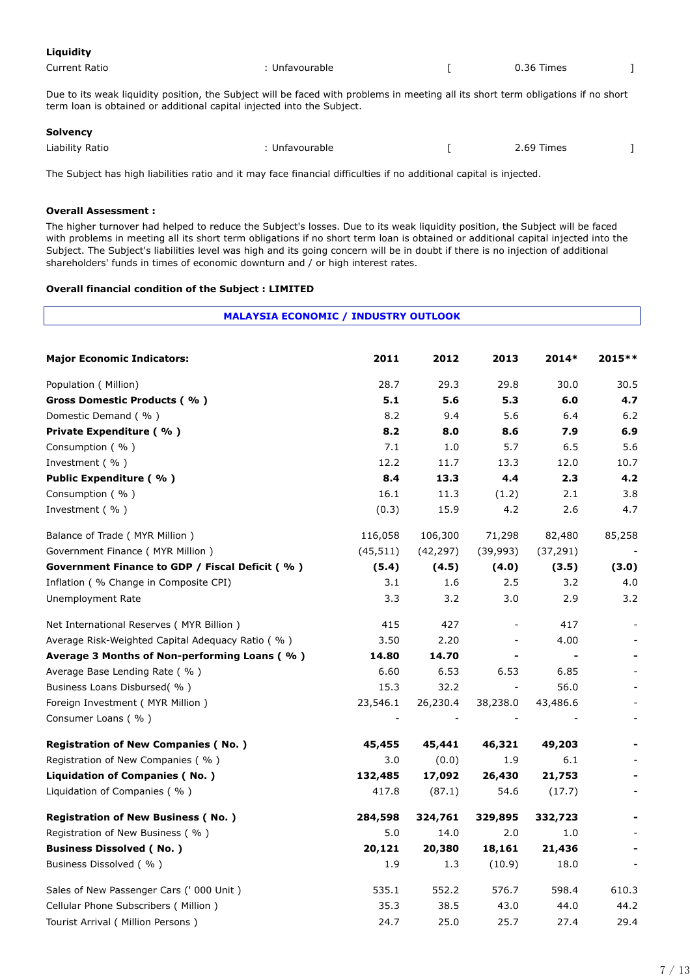| Liquidity     |                |            |  |
|---------------|----------------|------------|--|
| Current Ratio | : Unfavourable | 0.36 Times |  |

Due to its weak liquidity position, the Subject will be faced with problems in meeting all its short term obligations if no short term loan is obtained or additional capital injected into the Subject.

#### **Solvency**

| Liability Ratio | Unfavourable<br>. | 2.69 Times<br>___<br>$\sim$ $\sim$ |  |
|-----------------|-------------------|------------------------------------|--|
|                 |                   |                                    |  |

The Subject has high liabilities ratio and it may face financial difficulties if no additional capital is injected.

#### **Overall Assessment :**

The higher turnover had helped to reduce the Subject's losses. Due to its weak liquidity position, the Subject will be faced with problems in meeting all its short term obligations if no short term loan is obtained or additional capital injected into the Subject. The Subject's liabilities level was high and its going concern will be in doubt if there is no injection of additional shareholders' funds in times of economic downturn and / or high interest rates.

#### **Overall financial condition of the Subject : LIMITED**

| <b>MALAYSIA ECONOMIC / INDUSTRY OUTLOOK</b>      |           |           |                              |           |         |  |
|--------------------------------------------------|-----------|-----------|------------------------------|-----------|---------|--|
| <b>Major Economic Indicators:</b>                | 2011      | 2012      | 2013                         | 2014*     | 2015 ** |  |
| Population ( Million)                            | 28.7      | 29.3      | 29.8                         | 30.0      | 30.5    |  |
| Gross Domestic Products (%)                      | 5.1       | 5.6       | 5.3                          | 6.0       | 4.7     |  |
| Domestic Demand (%)                              | 8.2       | 9.4       | 5.6                          | 6.4       | 6.2     |  |
| Private Expenditure (%)                          | 8.2       | 8.0       | 8.6                          | 7.9       | 6.9     |  |
| Consumption (%)                                  | 7.1       | 1.0       | 5.7                          | 6.5       | 5.6     |  |
| Investment (%)                                   | 12.2      | 11.7      | 13.3                         | 12.0      | 10.7    |  |
| Public Expenditure (%)                           | 8.4       | 13.3      | 4.4                          | 2.3       | 4.2     |  |
| Consumption (%)                                  | 16.1      | 11.3      | (1.2)                        | 2.1       | 3.8     |  |
| Investment (%)                                   | (0.3)     | 15.9      | 4.2                          | 2.6       | 4.7     |  |
| Balance of Trade ( MYR Million )                 | 116,058   | 106,300   | 71,298                       | 82,480    | 85,258  |  |
| Government Finance ( MYR Million )               | (45, 511) | (42, 297) | (39,993)                     | (37, 291) |         |  |
| Government Finance to GDP / Fiscal Deficit (%)   | (5.4)     | (4.5)     | (4.0)                        | (3.5)     | (3.0)   |  |
| Inflation (% Change in Composite CPI)            | 3.1       | 1.6       | 2.5                          | 3.2       | 4.0     |  |
| Unemployment Rate                                | 3.3       | 3.2       | 3.0                          | 2.9       | 3.2     |  |
| Net International Reserves ( MYR Billion )       | 415       | 427       | $\qquad \qquad \blacksquare$ | 417       |         |  |
| Average Risk-Weighted Capital Adequacy Ratio (%) | 3.50      | 2.20      |                              | 4.00      |         |  |
| Average 3 Months of Non-performing Loans (%)     | 14.80     | 14.70     | -                            |           |         |  |
| Average Base Lending Rate (%)                    | 6.60      | 6.53      | 6.53                         | 6.85      |         |  |
| Business Loans Disbursed(%)                      | 15.3      | 32.2      | $\overline{\phantom{a}}$     | 56.0      |         |  |
| Foreign Investment (MYR Million)                 | 23,546.1  | 26,230.4  | 38,238.0                     | 43,486.6  |         |  |
| Consumer Loans (%)                               |           |           |                              |           |         |  |
| <b>Registration of New Companies (No.)</b>       | 45,455    | 45,441    | 46,321                       | 49,203    |         |  |
| Registration of New Companies (%)                | 3.0       | (0.0)     | 1.9                          | 6.1       |         |  |
| <b>Liquidation of Companies (No.)</b>            | 132,485   | 17,092    | 26,430                       | 21,753    |         |  |
| Liquidation of Companies (%)                     | 417.8     | (87.1)    | 54.6                         | (17.7)    |         |  |
| <b>Registration of New Business (No.)</b>        | 284,598   | 324,761   | 329,895                      | 332,723   |         |  |
| Registration of New Business (%)                 | 5.0       | 14.0      | 2.0                          | $1.0\,$   |         |  |
| <b>Business Dissolved (No.)</b>                  | 20,121    | 20,380    | 18,161                       | 21,436    |         |  |
| Business Dissolved (%)                           | 1.9       | 1.3       | (10.9)                       | 18.0      |         |  |
| Sales of New Passenger Cars (' 000 Unit)         | 535.1     | 552.2     | 576.7                        | 598.4     | 610.3   |  |
| Cellular Phone Subscribers ( Million )           | 35.3      | 38.5      | 43.0                         | 44.0      | 44.2    |  |
| Tourist Arrival ( Million Persons )              | 24.7      | 25.0      | 25.7                         | 27.4      | 29.4    |  |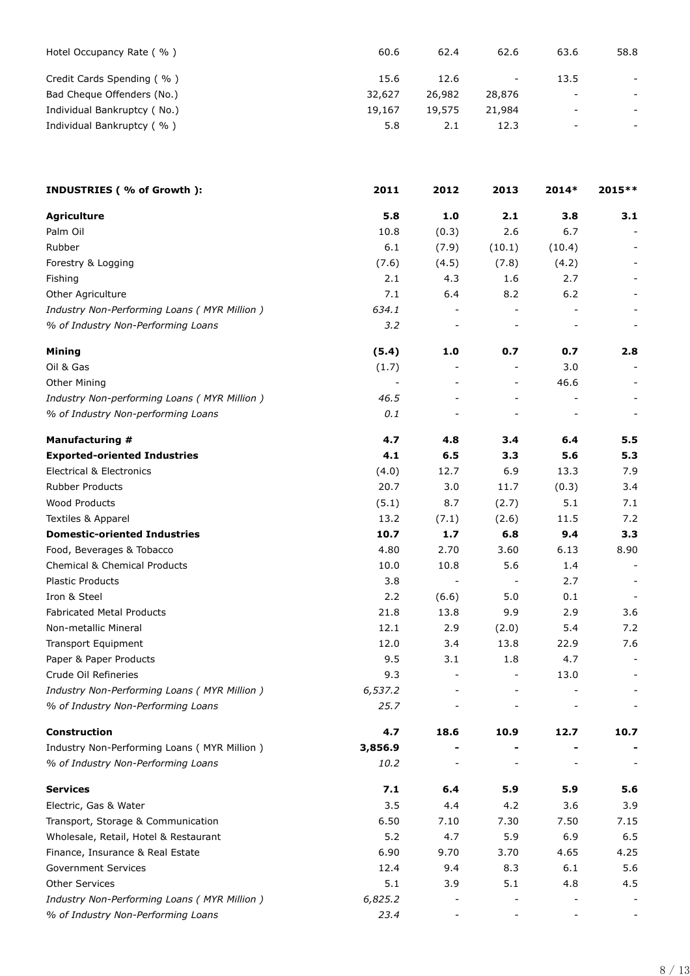| Hotel Occupancy Rate (%)    | 60.6   | 62.4   | 62.6                     | 63.6                     | 58.8                     |
|-----------------------------|--------|--------|--------------------------|--------------------------|--------------------------|
| Credit Cards Spending (%)   | 15.6   | 12.6   | $\overline{\phantom{0}}$ | 13.5                     | $\overline{\phantom{a}}$ |
| Bad Cheque Offenders (No.)  | 32,627 | 26,982 | 28,876                   | $\overline{\phantom{a}}$ |                          |
| Individual Bankruptcy (No.) | 19,167 | 19,575 | 21,984                   | $\overline{\phantom{a}}$ | $\sim$                   |
| Individual Bankruptcy (%)   | 5.8    | 2.1    | 12.3                     | $\overline{\phantom{0}}$ |                          |

| INDUSTRIES (% of Growth ):                    | 2011    | 2012                     | 2013                     | 2014*  | 2015 ** |
|-----------------------------------------------|---------|--------------------------|--------------------------|--------|---------|
| <b>Agriculture</b>                            | 5.8     | 1.0                      | 2.1                      | 3.8    | 3.1     |
| Palm Oil                                      | 10.8    | (0.3)                    | 2.6                      | 6.7    |         |
| Rubber                                        | 6.1     | (7.9)                    | (10.1)                   | (10.4) |         |
| Forestry & Logging                            | (7.6)   | (4.5)                    | (7.8)                    | (4.2)  |         |
| Fishing                                       | 2.1     | 4.3                      | 1.6                      | 2.7    |         |
| Other Agriculture                             | 7.1     | 6.4                      | 8.2                      | 6.2    |         |
| Industry Non-Performing Loans ( MYR Million ) | 634.1   |                          |                          |        |         |
| % of Industry Non-Performing Loans            | 3.2     | $\overline{\phantom{a}}$ |                          |        |         |
| <b>Mining</b>                                 | (5.4)   | 1.0                      | 0.7                      | 0.7    | 2.8     |
| Oil & Gas                                     | (1.7)   |                          |                          | 3.0    |         |
| <b>Other Mining</b>                           |         |                          | $\blacksquare$           | 46.6   |         |
| Industry Non-performing Loans ( MYR Million ) | 46.5    |                          |                          |        |         |
| % of Industry Non-performing Loans            | 0.1     |                          |                          |        |         |
| Manufacturing #                               | 4.7     | 4.8                      | 3.4                      | 6.4    | 5.5     |
| <b>Exported-oriented Industries</b>           | 4.1     | 6.5                      | 3.3                      | 5.6    | 5.3     |
| <b>Electrical &amp; Electronics</b>           | (4.0)   | 12.7                     | 6.9                      | 13.3   | 7.9     |
| <b>Rubber Products</b>                        | 20.7    | 3.0                      | 11.7                     | (0.3)  | 3.4     |
| <b>Wood Products</b>                          | (5.1)   | 8.7                      | (2.7)                    | 5.1    | 7.1     |
| Textiles & Apparel                            | 13.2    | (7.1)                    | (2.6)                    | 11.5   | 7.2     |
| <b>Domestic-oriented Industries</b>           | 10.7    | 1.7                      | 6.8                      | 9.4    | 3.3     |
| Food, Beverages & Tobacco                     | 4.80    | 2.70                     | 3.60                     | 6.13   | 8.90    |
| <b>Chemical &amp; Chemical Products</b>       | 10.0    | 10.8                     | 5.6                      | 1.4    |         |
| <b>Plastic Products</b>                       | 3.8     | $\overline{\phantom{a}}$ | $\overline{\phantom{a}}$ | 2.7    |         |
| Iron & Steel                                  | 2.2     | (6.6)                    | 5.0                      | 0.1    |         |
| <b>Fabricated Metal Products</b>              | 21.8    | 13.8                     | 9.9                      | 2.9    | 3.6     |
| Non-metallic Mineral                          | 12.1    | 2.9                      | (2.0)                    | 5.4    | 7.2     |
| <b>Transport Equipment</b>                    | 12.0    | 3.4                      | 13.8                     | 22.9   | 7.6     |
| Paper & Paper Products                        | 9.5     | 3.1                      | 1.8                      | 4.7    |         |
| Crude Oil Refineries                          | 9.3     |                          |                          | 13.0   |         |
| Industry Non-Performing Loans ( MYR Million ) | 6,537.2 |                          | $\overline{\phantom{0}}$ |        |         |
| % of Industry Non-Performing Loans            | 25.7    |                          |                          |        |         |
| <b>Construction</b>                           | 4.7     | 18.6                     | 10.9                     | 12.7   | 10.7    |
| Industry Non-Performing Loans (MYR Million)   | 3,856.9 |                          |                          |        |         |
| % of Industry Non-Performing Loans            | 10.2    |                          |                          |        |         |
| <b>Services</b>                               | 7.1     | $6.4$                    | 5.9                      | 5.9    | 5.6     |
| Electric, Gas & Water                         | 3.5     | 4.4                      | 4.2                      | 3.6    | 3.9     |
| Transport, Storage & Communication            | 6.50    | 7.10                     | 7.30                     | 7.50   | 7.15    |
| Wholesale, Retail, Hotel & Restaurant         | 5.2     | 4.7                      | 5.9                      | 6.9    | 6.5     |
| Finance, Insurance & Real Estate              | 6.90    | 9.70                     | 3.70                     | 4.65   | 4.25    |
| <b>Government Services</b>                    | 12.4    | 9.4                      | 8.3                      | 6.1    | 5.6     |
| <b>Other Services</b>                         | 5.1     | 3.9                      | 5.1                      | 4.8    | 4.5     |
| Industry Non-Performing Loans ( MYR Million ) | 6,825.2 |                          |                          |        |         |
| % of Industry Non-Performing Loans            | 23.4    |                          |                          |        |         |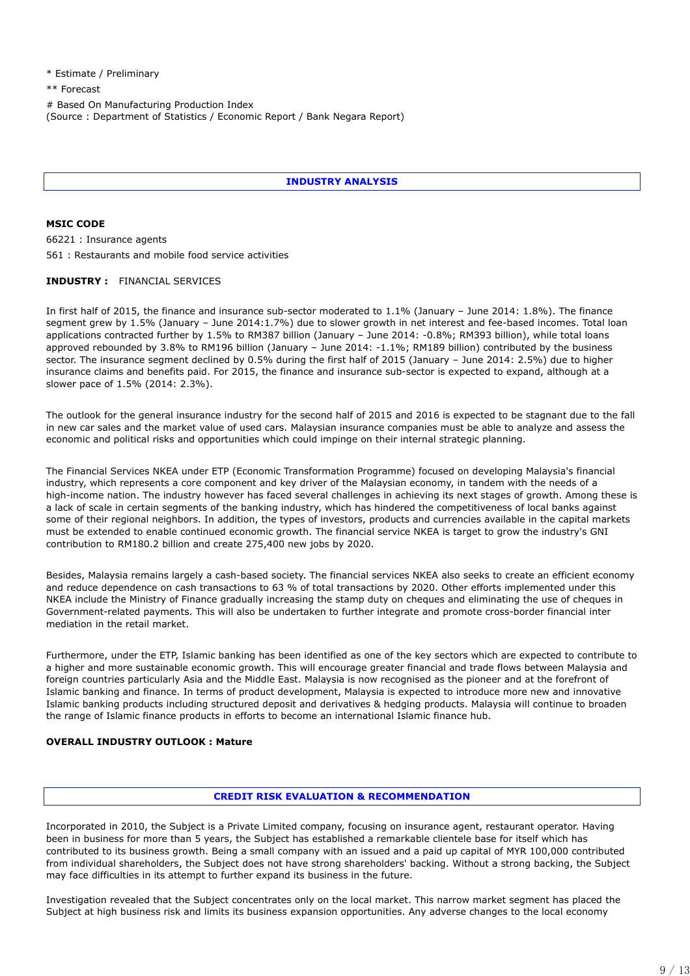\* Estimate / Preliminary

\*\* Forecast

# Based On Manufacturing Production Index (Source : Department of Statistics / Economic Report / Bank Negara Report)

# **INDUSTRY ANALYSIS**

**MSIC CODE** 66221 : Insurance agents 561 : Restaurants and mobile food service activities

#### **INDUSTRY :** FINANCIAL SERVICES

In first half of 2015, the finance and insurance sub-sector moderated to 1.1% (January – June 2014: 1.8%). The finance segment grew by 1.5% (January – June 2014:1.7%) due to slower growth in net interest and fee-based incomes. Total loan applications contracted further by 1.5% to RM387 billion (January – June 2014: -0.8%; RM393 billion), while total loans approved rebounded by 3.8% to RM196 billion (January – June 2014: -1.1%; RM189 billion) contributed by the business sector. The insurance segment declined by 0.5% during the first half of 2015 (January – June 2014: 2.5%) due to higher insurance claims and benefits paid. For 2015, the finance and insurance sub-sector is expected to expand, although at a slower pace of 1.5% (2014: 2.3%).

The outlook for the general insurance industry for the second half of 2015 and 2016 is expected to be stagnant due to the fall in new car sales and the market value of used cars. Malaysian insurance companies must be able to analyze and assess the economic and political risks and opportunities which could impinge on their internal strategic planning.

The Financial Services NKEA under ETP (Economic Transformation Programme) focused on developing Malaysia's financial industry, which represents a core component and key driver of the Malaysian economy, in tandem with the needs of a high-income nation. The industry however has faced several challenges in achieving its next stages of growth. Among these is a lack of scale in certain segments of the banking industry, which has hindered the competitiveness of local banks against some of their regional neighbors. In addition, the types of investors, products and currencies available in the capital markets must be extended to enable continued economic growth. The financial service NKEA is target to grow the industry's GNI contribution to RM180.2 billion and create 275,400 new jobs by 2020.

Besides, Malaysia remains largely a cash-based society. The financial services NKEA also seeks to create an efficient economy and reduce dependence on cash transactions to 63 % of total transactions by 2020. Other efforts implemented under this NKEA include the Ministry of Finance gradually increasing the stamp duty on cheques and eliminating the use of cheques in Government-related payments. This will also be undertaken to further integrate and promote cross-border financial inter mediation in the retail market.

Furthermore, under the ETP, Islamic banking has been identified as one of the key sectors which are expected to contribute to a higher and more sustainable economic growth. This will encourage greater financial and trade flows between Malaysia and foreign countries particularly Asia and the Middle East. Malaysia is now recognised as the pioneer and at the forefront of Islamic banking and finance. In terms of product development, Malaysia is expected to introduce more new and innovative Islamic banking products including structured deposit and derivatives & hedging products. Malaysia will continue to broaden the range of Islamic finance products in efforts to become an international Islamic finance hub.

### **OVERALL INDUSTRY OUTLOOK : Mature**

#### **CREDIT RISK EVALUATION & RECOMMENDATION**

Incorporated in 2010, the Subject is a Private Limited company, focusing on insurance agent, restaurant operator. Having been in business for more than 5 years, the Subject has established a remarkable clientele base for itself which has contributed to its business growth. Being a small company with an issued and a paid up capital of MYR 100,000 contributed from individual shareholders, the Subject does not have strong shareholders' backing. Without a strong backing, the Subject may face difficulties in its attempt to further expand its business in the future.

Investigation revealed that the Subject concentrates only on the local market. This narrow market segment has placed the Subject at high business risk and limits its business expansion opportunities. Any adverse changes to the local economy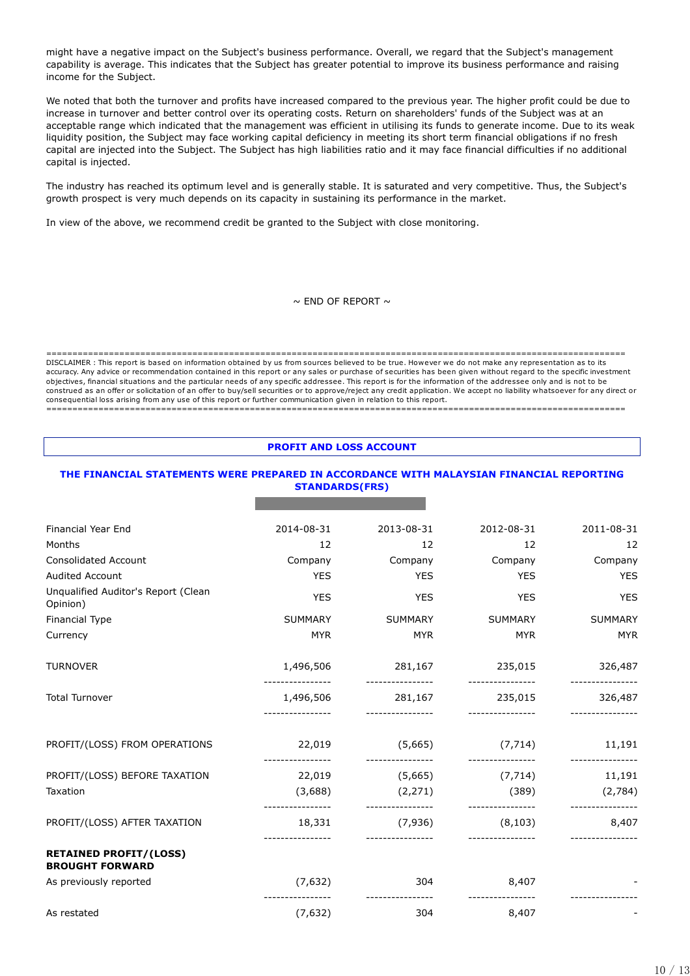might have a negative impact on the Subject's business performance. Overall, we regard that the Subject's management capability is average. This indicates that the Subject has greater potential to improve its business performance and raising income for the Subject.

We noted that both the turnover and profits have increased compared to the previous year. The higher profit could be due to increase in turnover and better control over its operating costs. Return on shareholders' funds of the Subject was at an acceptable range which indicated that the management was efficient in utilising its funds to generate income. Due to its weak liquidity position, the Subject may face working capital deficiency in meeting its short term financial obligations if no fresh capital are injected into the Subject. The Subject has high liabilities ratio and it may face financial difficulties if no additional capital is injected.

The industry has reached its optimum level and is generally stable. It is saturated and very competitive. Thus, the Subject's growth prospect is very much depends on its capacity in sustaining its performance in the market.

In view of the above, we recommend credit be granted to the Subject with close monitoring.

 $\sim$  FND OF REPORT  $\sim$ 

=============================================================================================================== DISCLAIMER : This report is based on information obtained by us from sources believed to be true. However we do not make any representation as to its accuracy. Any advice or recommendation contained in this report or any sales or purchase of securities has been given without regard to the specific investment objectives, financial situations and the particular needs of any specific addressee. This report is for the information of the addressee only and is not to be construed as an offer or solicitation of an offer to buy/sell securities or to approve/reject any credit application. We accept no liability whatsoever for any direct or consequential loss arising from any use of this report or further communication given in relation to this report.

===============================================================================================================

#### **PROFIT AND LOSS ACCOUNT**

#### **THE FINANCIAL STATEMENTS WERE PREPARED IN ACCORDANCE WITH MALAYSIAN FINANCIAL REPORTING STANDARDS(FRS)**

**NADHI EMAS GROUP SDN. BHD.**

| <b>Financial Year End</b>                               | 2014-08-31                    | 2013-08-31                           | 2012-08-31                    | 2011-08-31                  |
|---------------------------------------------------------|-------------------------------|--------------------------------------|-------------------------------|-----------------------------|
| Months                                                  | 12                            | 12                                   | 12                            | 12                          |
| <b>Consolidated Account</b>                             | Company                       | Company                              | Company                       | Company                     |
| <b>Audited Account</b>                                  | <b>YES</b>                    | <b>YES</b>                           | <b>YES</b>                    | <b>YES</b>                  |
| Unqualified Auditor's Report (Clean<br>Opinion)         | <b>YES</b>                    | <b>YES</b>                           | <b>YES</b>                    | <b>YES</b>                  |
| Financial Type                                          | <b>SUMMARY</b>                | <b>SUMMARY</b>                       | <b>SUMMARY</b>                | <b>SUMMARY</b>              |
| Currency                                                | <b>MYR</b>                    | <b>MYR</b>                           | <b>MYR</b>                    | <b>MYR</b>                  |
| <b>TURNOVER</b>                                         | 1,496,506<br>---------------- | 281,167 235,015<br>----------------- | _________________             | 326,487<br>---------------- |
| <b>Total Turnover</b>                                   | 1,496,506<br>---------------- | 281,167<br>-----------------         | 235,015<br>_________________  | 326,487<br>---------------- |
| PROFIT/(LOSS) FROM OPERATIONS                           | 22,019                        | (5,665)                              | (7, 714)                      | 11,191                      |
| PROFIT/(LOSS) BEFORE TAXATION                           | ----------------<br>22,019    | ----------------<br>(5,665)          | ----------------<br>(7, 714)  | ----------------<br>11,191  |
| Taxation                                                | (3,688)<br>----------------   | (2, 271)                             | (389)                         | (2,784)                     |
| PROFIT/(LOSS) AFTER TAXATION                            | 18,331                        | (7,936)                              | -----------------<br>(8, 103) | 8,407                       |
| <b>RETAINED PROFIT/(LOSS)</b><br><b>BROUGHT FORWARD</b> |                               |                                      |                               |                             |
| As previously reported                                  | (7,632)                       | 304                                  | 8,407                         |                             |
| As restated                                             | (7, 632)                      | ----------------<br>304              | ----------------<br>8,407     |                             |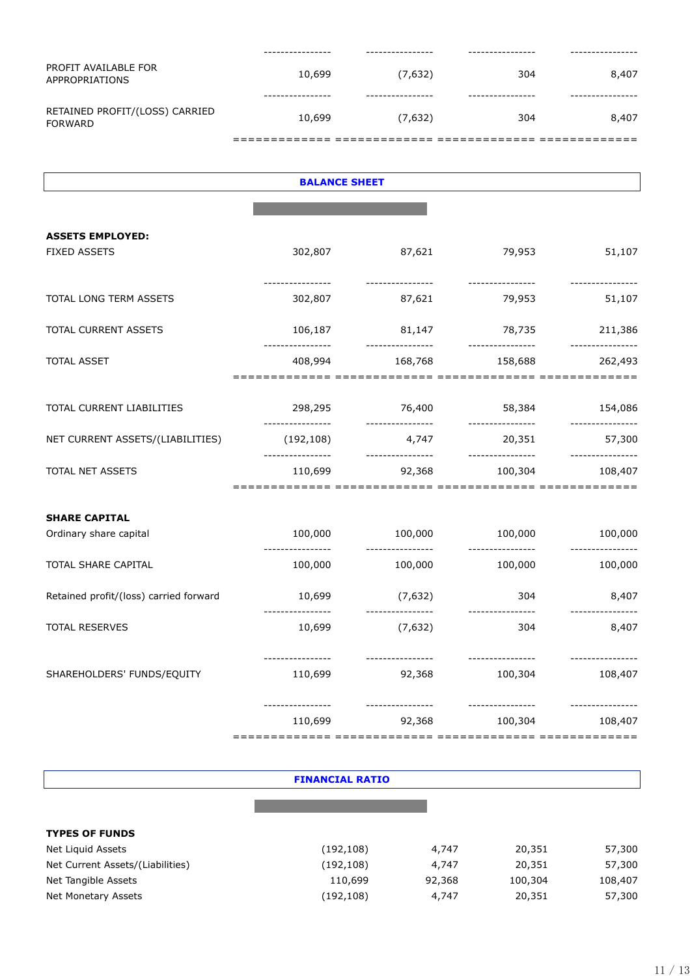| PROFIT AVAILABLE FOR<br>APPROPRIATIONS    | 10,699       | (7,632) | 304 | 8,407 |
|-------------------------------------------|--------------|---------|-----|-------|
|                                           | . <b>.</b> . |         |     |       |
| RETAINED PROFIT/(LOSS) CARRIED<br>FORWARD | 10,699       | (7,632) | 304 | 8,407 |
|                                           |              |         |     |       |

| <b>BALANCE SHEET</b>                   |                                |                                           |                                   |                        |  |
|----------------------------------------|--------------------------------|-------------------------------------------|-----------------------------------|------------------------|--|
|                                        |                                |                                           |                                   |                        |  |
| <b>ASSETS EMPLOYED:</b>                |                                |                                           |                                   |                        |  |
| <b>FIXED ASSETS</b>                    | 302,807                        | 87,621                                    | 79,953                            | 51,107                 |  |
| TOTAL LONG TERM ASSETS                 | 302,807                        | 87,621                                    | 79,953                            | 51,107                 |  |
| TOTAL CURRENT ASSETS                   | 106,187<br>----------------    | ----------------                          | 81,147 78,735<br>---------------- | 211,386                |  |
| <b>TOTAL ASSET</b>                     | 408,994                        |                                           | 168,768<br>158,688                | 262,493                |  |
|                                        |                                |                                           |                                   |                        |  |
| TOTAL CURRENT LIABILITIES              | 298,295<br>----------------    | 76,400                                    | 58,384<br>----------------        | 154,086                |  |
| NET CURRENT ASSETS/(LIABILITIES)       | (192, 108)<br>---------------- | 4,747                                     | 20,351<br>------------------      | 57,300                 |  |
| TOTAL NET ASSETS                       | 110,699                        |                                           | 92,368 100,304                    | 108,407                |  |
| <b>SHARE CAPITAL</b>                   |                                |                                           |                                   |                        |  |
| Ordinary share capital                 | 100,000<br>----------------    | 100,000<br>----------------               | 100,000<br>----------------       | 100,000                |  |
| TOTAL SHARE CAPITAL                    | 100,000                        | 100,000                                   | 100,000                           | 100,000                |  |
| Retained profit/(loss) carried forward | 10,699<br>-------------        | (7,632)<br>----------------               | 304                               | 8,407<br>------------- |  |
| <b>TOTAL RESERVES</b>                  | 10,699                         | (7,632)                                   | 304                               | 8,407                  |  |
| SHAREHOLDERS' FUNDS/EQUITY             | --------------<br>110,699      | . _ _ _ _ _ _ _ _ _ _ _ _ _ _ _<br>92,368 | ---------------<br>100,304        | 108,407                |  |
|                                        | 110,699                        | 92,368                                    | 100,304                           | 108,407                |  |

| <b>FINANCIAL RATIO</b>           |            |        |         |         |  |
|----------------------------------|------------|--------|---------|---------|--|
|                                  |            |        |         |         |  |
|                                  |            |        |         |         |  |
| <b>TYPES OF FUNDS</b>            |            |        |         |         |  |
| Net Liquid Assets                | (192, 108) | 4,747  | 20,351  | 57,300  |  |
| Net Current Assets/(Liabilities) | (192, 108) | 4,747  | 20,351  | 57,300  |  |
| Net Tangible Assets              | 110,699    | 92,368 | 100,304 | 108,407 |  |
| Net Monetary Assets              | (192, 108) | 4,747  | 20,351  | 57,300  |  |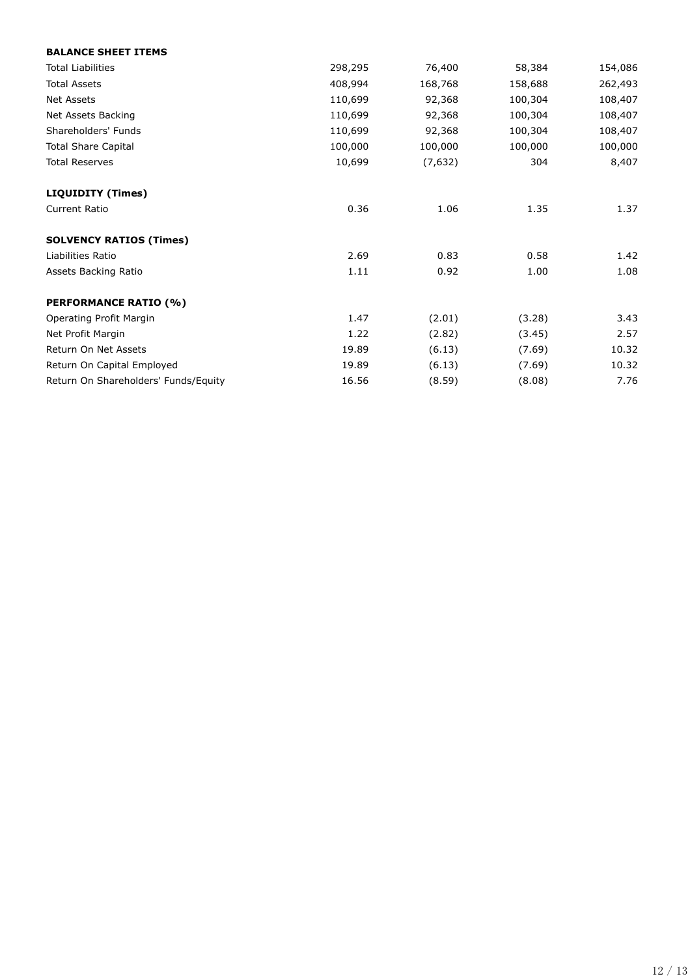| <b>BALANCE SHEET ITEMS</b>           |         |         |         |         |
|--------------------------------------|---------|---------|---------|---------|
| <b>Total Liabilities</b>             | 298,295 | 76,400  | 58,384  | 154,086 |
| <b>Total Assets</b>                  | 408,994 | 168,768 | 158,688 | 262,493 |
| <b>Net Assets</b>                    | 110,699 | 92,368  | 100,304 | 108,407 |
| Net Assets Backing                   | 110,699 | 92,368  | 100,304 | 108,407 |
| Shareholders' Funds                  | 110,699 | 92,368  | 100,304 | 108,407 |
| <b>Total Share Capital</b>           | 100,000 | 100,000 | 100,000 | 100,000 |
| <b>Total Reserves</b>                | 10,699  | (7,632) | 304     | 8,407   |
| <b>LIQUIDITY (Times)</b>             |         |         |         |         |
| <b>Current Ratio</b>                 | 0.36    | 1.06    | 1.35    | 1.37    |
| <b>SOLVENCY RATIOS (Times)</b>       |         |         |         |         |
| Liabilities Ratio                    | 2.69    | 0.83    | 0.58    | 1.42    |
| Assets Backing Ratio                 | 1.11    | 0.92    | 1.00    | 1.08    |
| <b>PERFORMANCE RATIO (%)</b>         |         |         |         |         |
| Operating Profit Margin              | 1.47    | (2.01)  | (3.28)  | 3.43    |
| Net Profit Margin                    | 1.22    | (2.82)  | (3.45)  | 2.57    |
| Return On Net Assets                 | 19.89   | (6.13)  | (7.69)  | 10.32   |
| Return On Capital Employed           | 19.89   | (6.13)  | (7.69)  | 10.32   |
| Return On Shareholders' Funds/Equity | 16.56   | (8.59)  | (8.08)  | 7.76    |